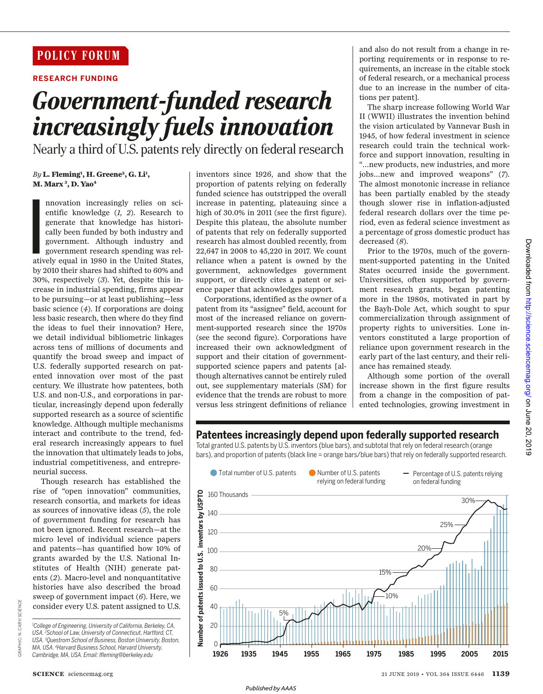# **POLICY FORUM**

**RESEARCH FUNDING**

# *Government-funded research increasingly fuels innovation*

Nearly a third of U.S. patents rely directly on federal research

#### *By* **L. Fleming<sup>1</sup> , H. Greene<sup>2</sup> , G. Li<sup>1</sup> , M. Marx <sup>3</sup> , D. Yao<sup>4</sup>**

**I** nnovation increasingly relies on scientific knowledge (*1, 2*). Research to generate that knowledge has historically been funded by both industry and government. Although industry and government research spending was relatively equal in 1980 in the United States, by 2010 their shares had shifted to 60% and 30%, respectively (*3*). Yet, despite this increase in industrial spending, firms appear to be pursuing—or at least publishing—less basic science (*4*). If corporations are doing less basic research, then where do they find the ideas to fuel their innovation? Here, we detail individual bibliometric linkages across tens of millions of documents and quantify the broad sweep and impact of U.S. federally supported research on patented innovation over most of the past century. We illustrate how patentees, both U.S. and non-U.S., and corporations in particular, increasingly depend upon federally supported research as a source of scientific knowledge. Although multiple mechanisms interact and contribute to the trend, federal research increasingly appears to fuel the innovation that ultimately leads to jobs, industrial competitiveness, and entrepreneurial success.

Though research has established the rise of "open innovation" communities, research consortia, and markets for ideas as sources of innovative ideas (*5*), the role of government funding for research has not been ignored. Recent research—at the micro level of individual science papers and patents—has quantified how 10% of grants awarded by the U.S. National Institutes of Health (NIH) generate patents (*2*). Macro-level and nonquantitative histories have also described the broad sweep of government impact (*6*). Here, we consider every U.S. patent assigned to U.S.

*<sup>1</sup>College of Engineering, University of California, Berkeley, CA,*  USA. <sup>2</sup> School of Law, University of Connecticut, Hartford, CT, *USA. <sup>3</sup>Questrom School of Business, Boston University, Boston, MA, USA. <sup>4</sup>Harvard Business School, Harvard University,* 

inventors since 1926, and show that the proportion of patents relying on federally funded science has outstripped the overall increase in patenting, plateauing since a high of 30.0% in 2011 (see the first figure). Despite this plateau, the absolute number of patents that rely on federally supported research has almost doubled recently, from 22,647 in 2008 to 45,220 in 2017. We count reliance when a patent is owned by the government, acknowledges government support, or directly cites a patent or science paper that acknowledges support.

Corporations, identified as the owner of a patent from its "assignee" field, account for most of the increased reliance on government-supported research since the 1970s (see the second figure). Corporations have increased their own acknowledgment of support and their citation of governmentsupported science papers and patents [although alternatives cannot be entirely ruled out, see supplementary materials (SM) for evidence that the trends are robust to more versus less stringent definitions of reliance

and also do not result from a change in reporting requirements or in response to requirements, an increase in the citable stock of federal research, or a mechanical process due to an increase in the number of citations per patent].

The sharp increase following World War II (WWII) illustrates the invention behind the vision articulated by Vannevar Bush in 1945, of how federal investment in science research could train the technical workforce and support innovation, resulting in "…new products, new industries, and more jobs…new and improved weapons" (*7*). The almost monotonic increase in reliance has been partially enabled by the steady though slower rise in inflation-adjusted federal research dollars over the time period, even as federal science investment as a percentage of gross domestic product has decreased (*8*).

Prior to the 1970s, much of the government-supported patenting in the United States occurred inside the government. Universities, often supported by government research grants, began patenting more in the 1980s, motivated in part by the Bayh-Dole Act, which sought to spur commercialization through assignment of property rights to universities. Lone inventors constituted a large proportion of reliance upon government research in the early part of the last century, and their reliance has remained steady.

Although some portion of the overall increase shown in the first figure results from a change in the composition of patented technologies, growing investment in

# **Patentees increasingly depend upon federally supported research**

Total granted U.S. patents by U.S. inventors (blue bars), and subtotal that rely on federal research (orange bars), and proportion of patents (black line = orange bars/blue bars) that rely on federally supported research.

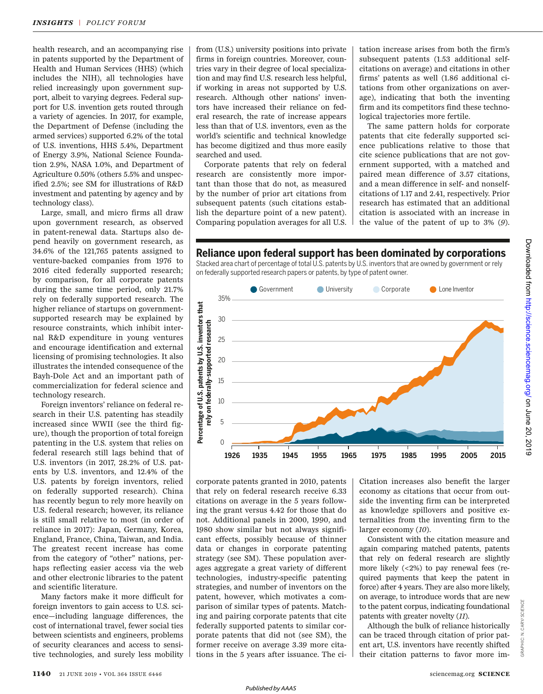health research, and an accompanying rise in patents supported by the Department of Health and Human Services (HHS) (which includes the NIH), all technologies have relied increasingly upon government support, albeit to varying degrees. Federal support for U.S. invention gets routed through a variety of agencies. In 2017, for example, the Department of Defense (including the armed services) supported 6.2% of the total of U.S. inventions, HHS 5.4%, Department of Energy 3.9%, National Science Foundation 2.9%, NASA 1.0%, and Department of Agriculture 0.50% (others 5.5% and unspecified 2.5%; see SM for illustrations of R&D investment and patenting by agency and by technology class).

Large, small, and micro firms all draw upon government research, as observed in patent-renewal data. Startups also depend heavily on government research, as 34.6% of the 121,765 patents assigned to venture-backed companies from 1976 to 2016 cited federally supported research; by comparison, for all corporate patents during the same time period, only 21.7% rely on federally supported research. The higher reliance of startups on governmentsupported research may be explained by resource constraints, which inhibit internal R&D expenditure in young ventures and encourage identification and external licensing of promising technologies. It also illustrates the intended consequence of the Bayh-Dole Act and an important path of commercialization for federal science and technology research.

Foreign inventors' reliance on federal research in their U.S. patenting has steadily increased since WWII (see the third figure), though the proportion of total foreign patenting in the U.S. system that relies on federal research still lags behind that of U.S. inventors (in 2017, 28.2% of U.S. patents by U.S. inventors, and 12.4% of the U.S. patents by foreign inventors, relied on federally supported research). China has recently begun to rely more heavily on U.S. federal research; however, its reliance is still small relative to most (in order of reliance in 2017): Japan, Germany, Korea, England, France, China, Taiwan, and India. The greatest recent increase has come from the category of "other" nations, perhaps reflecting easier access via the web and other electronic libraries to the patent and scientific literature.

Many factors make it more difficult for foreign inventors to gain access to U.S. science—including language differences, the cost of international travel, fewer social ties between scientists and engineers, problems of security clearances and access to sensitive technologies, and surely less mobility from (U.S.) university positions into private firms in foreign countries. Moreover, countries vary in their degree of local specialization and may find U.S. research less helpful, if working in areas not supported by U.S. research. Although other nations' inventors have increased their reliance on federal research, the rate of increase appears less than that of U.S. inventors, even as the world's scientific and technical knowledge has become digitized and thus more easily searched and used.

Corporate patents that rely on federal research are consistently more important than those that do not, as measured by the number of prior art citations from subsequent patents (such citations establish the departure point of a new patent). Comparing population averages for all U.S.

tation increase arises from both the firm's subsequent patents (1.53 additional selfcitations on average) and citations in other firms' patents as well (1.86 additional citations from other organizations on average), indicating that both the inventing firm and its competitors find these technological trajectories more fertile.

The same pattern holds for corporate patents that cite federally supported science publications relative to those that cite science publications that are not government supported, with a matched and paired mean difference of 3.57 citations, and a mean difference in self- and nonselfcitations of 1.17 and 2.41, respectively. Prior research has estimated that an additional citation is associated with an increase in the value of the patent of up to 3% (*9*).

## **Reliance upon federal support has been dominated by corporations**

Stacked area chart of percentage of total U.S. patents by U.S. inventors that are owned by government or rely on federally supported research papers or patents, by type of patent owner.



corporate patents granted in 2010, patents that rely on federal research receive 6.33 citations on average in the 5 years following the grant versus 4.42 for those that do not. Additional panels in 2000, 1990, and 1980 show similar but not always significant effects, possibly because of thinner data or changes in corporate patenting strategy (see SM). These population averages aggregate a great variety of different technologies, industry-specific patenting strategies, and number of inventors on the patent, however, which motivates a comparison of similar types of patents. Matching and pairing corporate patents that cite federally supported patents to similar corporate patents that did not (see SM), the former receive on average 3.39 more citations in the 5 years after issuance. The ci-

Citation increases also benefit the larger economy as citations that occur from outside the inventing firm can be interpreted as knowledge spillovers and positive externalities from the inventing firm to the larger economy (*10*).

Consistent with the citation measure and again comparing matched patents, patents that rely on federal research are slightly more likely (<2%) to pay renewal fees (required payments that keep the patent in force) after 4 years. They are also more likely, on average, to introduce words that are new to the patent corpus, indicating foundational patents with greater novelty (*11*).

Although the bulk of reliance historically can be traced through citation of prior patent art, U.S. inventors have recently shifted their citation patterns to favor more imGRAPHIC: N. CARY/*SCIENCE*

GRAPHIC: N. CARY/SCIENCE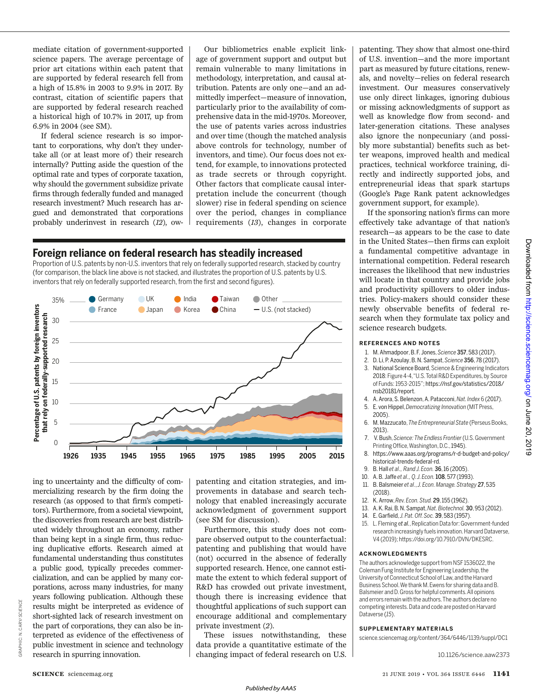mediate citation of government-supported science papers. The average percentage of prior art citations within each patent that are supported by federal research fell from a high of 15.8% in 2003 to 9.9% in 2017. By contrast, citation of scientific papers that are supported by federal research reached a historical high of 10.7% in 2017, up from 6.9% in 2004 (see SM).

If federal science research is so important to corporations, why don't they undertake all (or at least more of) their research internally? Putting aside the question of the optimal rate and types of corporate taxation, why should the government subsidize private firms through federally funded and managed research investment? Much research has argued and demonstrated that corporations probably underinvest in research (*12*), ow-

Our bibliometrics enable explicit linkage of government support and output but remain vulnerable to many limitations in methodology, interpretation, and causal attribution. Patents are only one—and an admittedly imperfect—measure of innovation, particularly prior to the availability of comprehensive data in the mid-1970s. Moreover, the use of patents varies across industries and over time (though the matched analysis above controls for technology, number of inventors, and time). Our focus does not extend, for example, to innovations protected as trade secrets or through copyright. Other factors that complicate causal interpretation include the concurrent (though slower) rise in federal spending on science over the period, changes in compliance requirements (*13*), changes in corporate

#### **Foreign reliance on federal research has steadily increased**

Proportion of U.S. patents by non-U.S. inventors that rely on federally supported research, stacked by country (for comparison, the black line above is not stacked, and illustrates the proportion of U.S. patents by U.S. inventors that rely on federally supported research, from the first and second figures).



ing to uncertainty and the difficulty of commercializing research by the firm doing the research (as opposed to that firm's competitors). Furthermore, from a societal viewpoint, the discoveries from research are best distributed widely throughout an economy, rather than being kept in a single firm, thus reducing duplicative efforts. Research aimed at fundamental understanding thus constitutes a public good, typically precedes commercialization, and can be applied by many corporations, across many industries, for many years following publication. Although these results might be interpreted as evidence of short-sighted lack of research investment on the part of corporations, they can also be interpreted as evidence of the effectiveness of public investment in science and technology research in spurring innovation.

patenting and citation strategies, and improvements in database and search technology that enabled increasingly accurate acknowledgment of government support (see SM for discussion).

Furthermore, this study does not compare observed output to the counterfactual: patenting and publishing that would have (not) occurred in the absence of federally supported research. Hence, one cannot estimate the extent to which federal support of R&D has crowded out private investment, though there is increasing evidence that thoughtful applications of such support can encourage additional and complementary private investment (*2*).

These issues notwithstanding, these data provide a quantitative estimate of the changing impact of federal research on U.S.

patenting. They show that almost one-third of U.S. invention—and the more important part as measured by future citations, renewals, and novelty—relies on federal research investment. Our measures conservatively use only direct linkages, ignoring dubious or missing acknowledgments of support as well as knowledge flow from second- and later-generation citations. These analyses also ignore the nonpecuniary (and possibly more substantial) benefits such as better weapons, improved health and medical practices, technical workforce training, directly and indirectly supported jobs, and entrepreneurial ideas that spark startups (Google's Page Rank patent acknowledges government support, for example).

If the sponsoring nation's firms can more effectively take advantage of that nation's research—as appears to be the case to date in the United States—then firms can exploit a fundamental competitive advantage in international competition. Federal research increases the likelihood that new industries will locate in that country and provide jobs and productivity spillovers to older industries. Policy-makers should consider these newly observable benefits of federal research when they formulate tax policy and science research budgets.

#### **REFERENCES AND NOTES**

- 1. M. Ahmadpoor, B. F. Jones, *Science* 357, 583 (2017).
- 2. D. Li, P. Azoulay, B. N. Sampat, *Science* 356, 78 (2017).
- 3. National Science Board, Science & Engineering Indicators 2018: Figure 4-4, "U.S. Total R&D Expenditures, by Source of Funds: 1953-2015"; https://nsf.gov/statistics/2018/ nsb20181/report.
- 4. A. Arora, S.Belenzon, A. Patacconi, *Nat. Index* 6 (2017).
- 5. E. von Hippel, *Democratizing Innovation* (MIT Press, 2005).
- 6. M.Mazzucato, *The Entrepreneurial State* (Perseus Books, 2013).
- 7. V.Bush, *Science: The Endless Frontier* (U.S. Government Printing Office, Washington, D.C., 1945).
- 8. https://www.aaas.org/programs/r-d-budget-and-policy/ historical-trends-federal-rd.
- 9. B.Hall *et al*., *Rand J. Econ.* 36, 16 (2005).
- 10. A. B. Jaffe *et al*., *Q. J. Econ.*108, 577 (1993).
- 11. B.Balsmeier *et al*., *J. Econ. Manage. Strategy* 27, 535 (2018).
- 12. K. Arrow, *Rev. Econ. Stud.* 29, 155 (1962).
- 13. A. K. Rai, B. N. Sampat, *Nat. Biotechnol.* 30, 953 (2012).
- 14. E.Garfield, *J. Pat. Off. Soc.* 39, 583 (1957).
- 15. L. Fleming e*t al.*, Replication Data for: Government-funded research increasingly fuels innovation. Harvard Dataverse, V4 (2019); https://doi.org/10.7910/DVN/DKESRC.

#### **ACKNOWLEDGMENTS**

The authors acknowledge support from NSF 1536022, the Coleman Fung Institute for Engineering Leadership, the University of Connecticut School of Law, and the Harvard Business School. We thank M. Ewens for sharing data and B. Balsmeier and D. Gross for helpful comments. All opinions and errors remain with the authors. The authors declare no competing interests. Data and code are posted on Harvard Dataverse (*15*).

#### **SUPPLEMENTARY MATERIALS**

science.sciencemag.org/content/364/6446/1139/suppl/DC1

10.1126/science.aaw2373

GRAPHIC: N. CARY/*SCIENCE*

GRAPHIC: N. CARY/SCIENCE